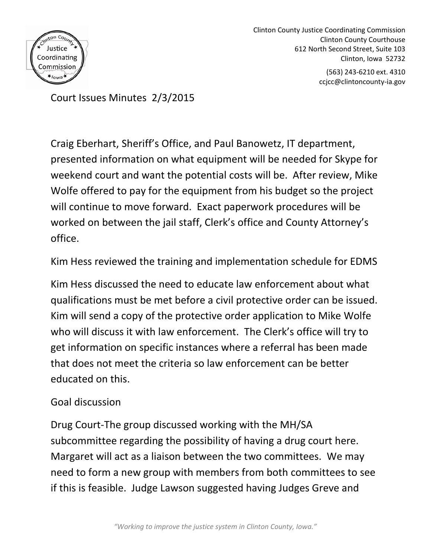

Clinton County Justice Coordinating Commission Clinton County Courthouse 612 North Second Street, Suite 103 Clinton, Iowa 52732 (563) 243-6210 ext. 4310

ccjcc@clintoncounty-ia.gov

Court Issues Minutes 2/3/2015

Craig Eberhart, Sheriff's Office, and Paul Banowetz, IT department, presented information on what equipment will be needed for Skype for weekend court and want the potential costs will be. After review, Mike Wolfe offered to pay for the equipment from his budget so the project will continue to move forward. Exact paperwork procedures will be worked on between the jail staff, Clerk's office and County Attorney's office.

Kim Hess reviewed the training and implementation schedule for EDMS

Kim Hess discussed the need to educate law enforcement about what qualifications must be met before a civil protective order can be issued. Kim will send a copy of the protective order application to Mike Wolfe who will discuss it with law enforcement. The Clerk's office will try to get information on specific instances where a referral has been made that does not meet the criteria so law enforcement can be better educated on this.

## Goal discussion

Drug Court-The group discussed working with the MH/SA subcommittee regarding the possibility of having a drug court here. Margaret will act as a liaison between the two committees. We may need to form a new group with members from both committees to see if this is feasible. Judge Lawson suggested having Judges Greve and